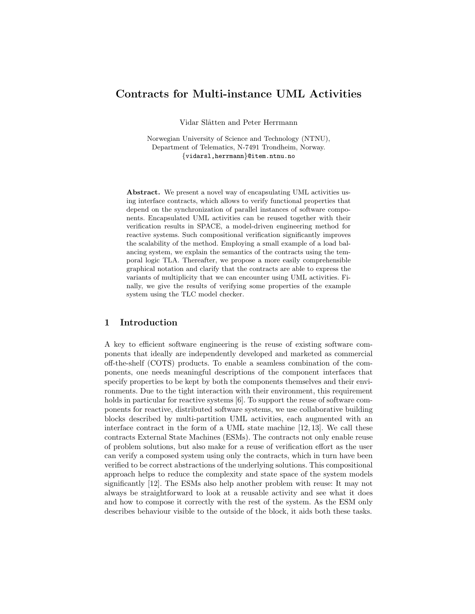# Contracts for Multi-instance UML Activities

Vidar Slåtten and Peter Herrmann

Norwegian University of Science and Technology (NTNU), Department of Telematics, N-7491 Trondheim, Norway. {vidarsl,herrmann}@item.ntnu.no

Abstract. We present a novel way of encapsulating UML activities using interface contracts, which allows to verify functional properties that depend on the synchronization of parallel instances of software components. Encapsulated UML activities can be reused together with their verification results in SPACE, a model-driven engineering method for reactive systems. Such compositional verification significantly improves the scalability of the method. Employing a small example of a load balancing system, we explain the semantics of the contracts using the temporal logic TLA. Thereafter, we propose a more easily comprehensible graphical notation and clarify that the contracts are able to express the variants of multiplicity that we can encounter using UML activities. Finally, we give the results of verifying some properties of the example system using the TLC model checker.

#### 1 Introduction

A key to efficient software engineering is the reuse of existing software components that ideally are independently developed and marketed as commercial off-the-shelf (COTS) products. To enable a seamless combination of the components, one needs meaningful descriptions of the component interfaces that specify properties to be kept by both the components themselves and their environments. Due to the tight interaction with their environment, this requirement holds in particular for reactive systems [6]. To support the reuse of software components for reactive, distributed software systems, we use collaborative building blocks described by multi-partition UML activities, each augmented with an interface contract in the form of a UML state machine [12, 13]. We call these contracts External State Machines (ESMs). The contracts not only enable reuse of problem solutions, but also make for a reuse of verification effort as the user can verify a composed system using only the contracts, which in turn have been verified to be correct abstractions of the underlying solutions. This compositional approach helps to reduce the complexity and state space of the system models significantly [12]. The ESMs also help another problem with reuse: It may not always be straightforward to look at a reusable activity and see what it does and how to compose it correctly with the rest of the system. As the ESM only describes behaviour visible to the outside of the block, it aids both these tasks.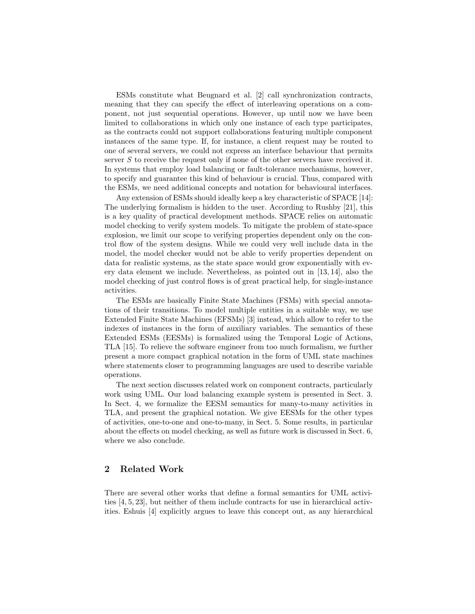ESMs constitute what Beugnard et al. [2] call synchronization contracts, meaning that they can specify the effect of interleaving operations on a component, not just sequential operations. However, up until now we have been limited to collaborations in which only one instance of each type participates, as the contracts could not support collaborations featuring multiple component instances of the same type. If, for instance, a client request may be routed to one of several servers, we could not express an interface behaviour that permits server S to receive the request only if none of the other servers have received it. In systems that employ load balancing or fault-tolerance mechanisms, however, to specify and guarantee this kind of behaviour is crucial. Thus, compared with the ESMs, we need additional concepts and notation for behavioural interfaces.

Any extension of ESMs should ideally keep a key characteristic of SPACE [14]: The underlying formalism is hidden to the user. According to Rushby [21], this is a key quality of practical development methods. SPACE relies on automatic model checking to verify system models. To mitigate the problem of state-space explosion, we limit our scope to verifying properties dependent only on the control flow of the system designs. While we could very well include data in the model, the model checker would not be able to verify properties dependent on data for realistic systems, as the state space would grow exponentially with every data element we include. Nevertheless, as pointed out in [13, 14], also the model checking of just control flows is of great practical help, for single-instance activities.

The ESMs are basically Finite State Machines (FSMs) with special annotations of their transitions. To model multiple entities in a suitable way, we use Extended Finite State Machines (EFSMs) [3] instead, which allow to refer to the indexes of instances in the form of auxiliary variables. The semantics of these Extended ESMs (EESMs) is formalized using the Temporal Logic of Actions, TLA [15]. To relieve the software engineer from too much formalism, we further present a more compact graphical notation in the form of UML state machines where statements closer to programming languages are used to describe variable operations.

The next section discusses related work on component contracts, particularly work using UML. Our load balancing example system is presented in Sect. 3. In Sect. 4, we formalize the EESM semantics for many-to-many activities in TLA, and present the graphical notation. We give EESMs for the other types of activities, one-to-one and one-to-many, in Sect. 5. Some results, in particular about the effects on model checking, as well as future work is discussed in Sect. 6, where we also conclude.

## 2 Related Work

There are several other works that define a formal semantics for UML activities [4, 5, 23], but neither of them include contracts for use in hierarchical activities. Eshuis [4] explicitly argues to leave this concept out, as any hierarchical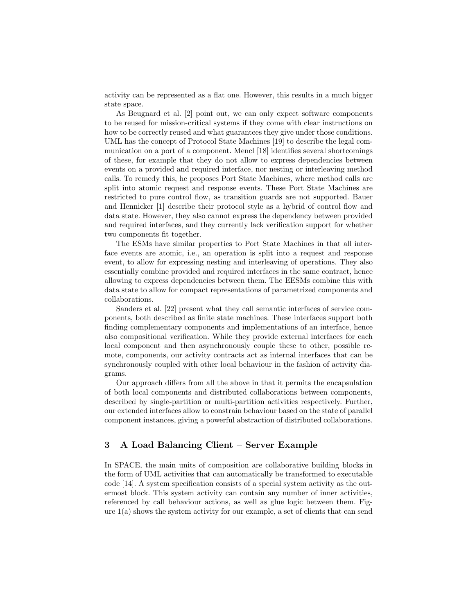activity can be represented as a flat one. However, this results in a much bigger state space.

As Beugnard et al. [2] point out, we can only expect software components to be reused for mission-critical systems if they come with clear instructions on how to be correctly reused and what guarantees they give under those conditions. UML has the concept of Protocol State Machines [19] to describe the legal communication on a port of a component. Mencl [18] identifies several shortcomings of these, for example that they do not allow to express dependencies between events on a provided and required interface, nor nesting or interleaving method calls. To remedy this, he proposes Port State Machines, where method calls are split into atomic request and response events. These Port State Machines are restricted to pure control flow, as transition guards are not supported. Bauer and Hennicker [1] describe their protocol style as a hybrid of control flow and data state. However, they also cannot express the dependency between provided and required interfaces, and they currently lack verification support for whether two components fit together.

The ESMs have similar properties to Port State Machines in that all interface events are atomic, i.e., an operation is split into a request and response event, to allow for expressing nesting and interleaving of operations. They also essentially combine provided and required interfaces in the same contract, hence allowing to express dependencies between them. The EESMs combine this with data state to allow for compact representations of parametrized components and collaborations.

Sanders et al. [22] present what they call semantic interfaces of service components, both described as finite state machines. These interfaces support both finding complementary components and implementations of an interface, hence also compositional verification. While they provide external interfaces for each local component and then asynchronously couple these to other, possible remote, components, our activity contracts act as internal interfaces that can be synchronously coupled with other local behaviour in the fashion of activity diagrams.

Our approach differs from all the above in that it permits the encapsulation of both local components and distributed collaborations between components, described by single-partition or multi-partition activities respectively. Further, our extended interfaces allow to constrain behaviour based on the state of parallel component instances, giving a powerful abstraction of distributed collaborations.

# 3 A Load Balancing Client – Server Example

In SPACE, the main units of composition are collaborative building blocks in the form of UML activities that can automatically be transformed to executable code [14]. A system specification consists of a special system activity as the outermost block. This system activity can contain any number of inner activities, referenced by call behaviour actions, as well as glue logic between them. Figure  $1(a)$  shows the system activity for our example, a set of clients that can send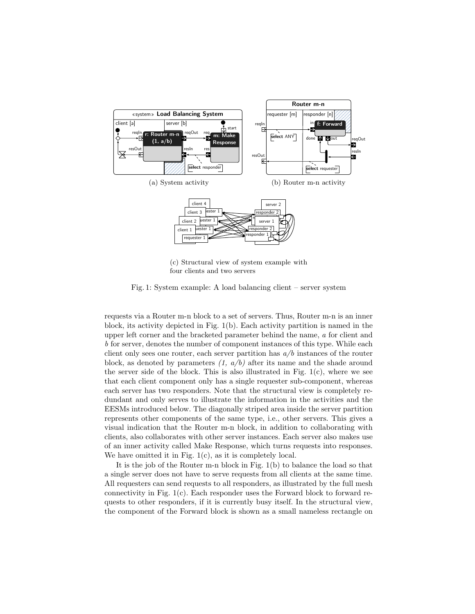

(c) Structural view of system example with four clients and two servers

Fig. 1: System example: A load balancing client – server system

requests via a Router m-n block to a set of servers. Thus, Router m-n is an inner block, its activity depicted in Fig. 1(b). Each activity partition is named in the upper left corner and the bracketed parameter behind the name, a for client and b for server, denotes the number of component instances of this type. While each client only sees one router, each server partition has  $a/b$  instances of the router block, as denoted by parameters  $(1, a/b)$  after its name and the shade around the server side of the block. This is also illustrated in Fig.  $1(c)$ , where we see that each client component only has a single requester sub-component, whereas each server has two responders. Note that the structural view is completely redundant and only serves to illustrate the information in the activities and the EESMs introduced below. The diagonally striped area inside the server partition represents other components of the same type, i.e., other servers. This gives a visual indication that the Router m-n block, in addition to collaborating with clients, also collaborates with other server instances. Each server also makes use of an inner activity called Make Response, which turns requests into responses. We have omitted it in Fig. 1(c), as it is completely local.

It is the job of the Router m-n block in Fig. 1(b) to balance the load so that a single server does not have to serve requests from all clients at the same time. All requesters can send requests to all responders, as illustrated by the full mesh connectivity in Fig. 1(c). Each responder uses the Forward block to forward requests to other responders, if it is currently busy itself. In the structural view, the component of the Forward block is shown as a small nameless rectangle on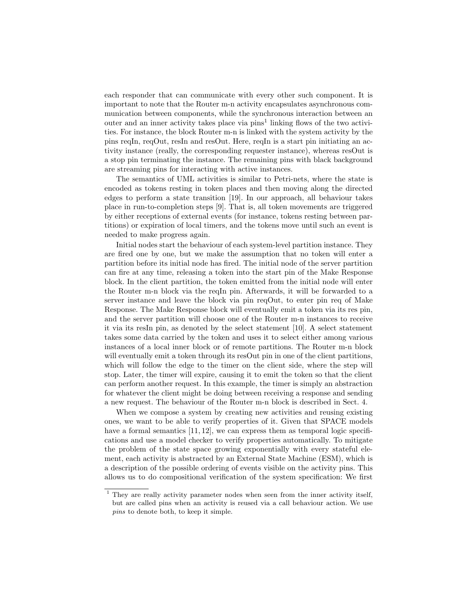each responder that can communicate with every other such component. It is important to note that the Router m-n activity encapsulates asynchronous communication between components, while the synchronous interaction between an outer and an inner activity takes place via  $\text{pin} \text{s}^1$  linking flows of the two activities. For instance, the block Router m-n is linked with the system activity by the pins reqIn, reqOut, resIn and resOut. Here, reqIn is a start pin initiating an activity instance (really, the corresponding requester instance), whereas resOut is a stop pin terminating the instance. The remaining pins with black background are streaming pins for interacting with active instances.

The semantics of UML activities is similar to Petri-nets, where the state is encoded as tokens resting in token places and then moving along the directed edges to perform a state transition [19]. In our approach, all behaviour takes place in run-to-completion steps [9]. That is, all token movements are triggered by either receptions of external events (for instance, tokens resting between partitions) or expiration of local timers, and the tokens move until such an event is needed to make progress again.

Initial nodes start the behaviour of each system-level partition instance. They are fired one by one, but we make the assumption that no token will enter a partition before its initial node has fired. The initial node of the server partition can fire at any time, releasing a token into the start pin of the Make Response block. In the client partition, the token emitted from the initial node will enter the Router m-n block via the reqIn pin. Afterwards, it will be forwarded to a server instance and leave the block via pin reqOut, to enter pin req of Make Response. The Make Response block will eventually emit a token via its res pin, and the server partition will choose one of the Router m-n instances to receive it via its resIn pin, as denoted by the select statement [10]. A select statement takes some data carried by the token and uses it to select either among various instances of a local inner block or of remote partitions. The Router m-n block will eventually emit a token through its resOut pin in one of the client partitions. which will follow the edge to the timer on the client side, where the step will stop. Later, the timer will expire, causing it to emit the token so that the client can perform another request. In this example, the timer is simply an abstraction for whatever the client might be doing between receiving a response and sending a new request. The behaviour of the Router m-n block is described in Sect. 4.

When we compose a system by creating new activities and reusing existing ones, we want to be able to verify properties of it. Given that SPACE models have a formal semantics [11, 12], we can express them as temporal logic specifications and use a model checker to verify properties automatically. To mitigate the problem of the state space growing exponentially with every stateful element, each activity is abstracted by an External State Machine (ESM), which is a description of the possible ordering of events visible on the activity pins. This allows us to do compositional verification of the system specification: We first

<sup>&</sup>lt;sup>1</sup> They are really activity parameter nodes when seen from the inner activity itself, but are called pins when an activity is reused via a call behaviour action. We use pins to denote both, to keep it simple.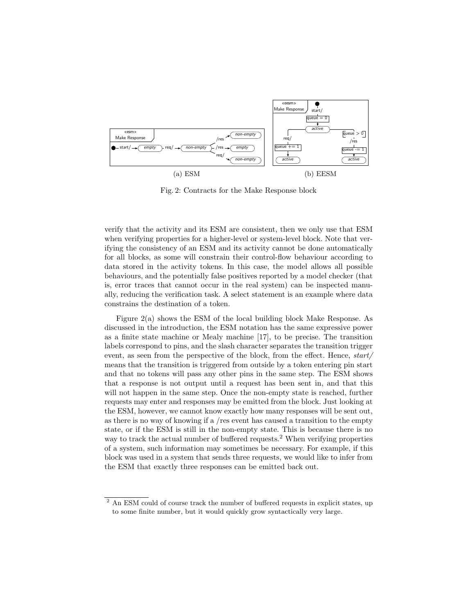

Fig. 2: Contracts for the Make Response block

verify that the activity and its ESM are consistent, then we only use that ESM when verifying properties for a higher-level or system-level block. Note that verifying the consistency of an ESM and its activity cannot be done automatically for all blocks, as some will constrain their control-flow behaviour according to data stored in the activity tokens. In this case, the model allows all possible behaviours, and the potentially false positives reported by a model checker (that is, error traces that cannot occur in the real system) can be inspected manually, reducing the verification task. A select statement is an example where data constrains the destination of a token.

Figure 2(a) shows the ESM of the local building block Make Response. As discussed in the introduction, the ESM notation has the same expressive power as a finite state machine or Mealy machine [17], to be precise. The transition labels correspond to pins, and the slash character separates the transition trigger event, as seen from the perspective of the block, from the effect. Hence, start/ means that the transition is triggered from outside by a token entering pin start and that no tokens will pass any other pins in the same step. The ESM shows that a response is not output until a request has been sent in, and that this will not happen in the same step. Once the non-empty state is reached, further requests may enter and responses may be emitted from the block. Just looking at the ESM, however, we cannot know exactly how many responses will be sent out, as there is no way of knowing if a /res event has caused a transition to the empty state, or if the ESM is still in the non-empty state. This is because there is no way to track the actual number of buffered requests.<sup>2</sup> When verifying properties of a system, such information may sometimes be necessary. For example, if this block was used in a system that sends three requests, we would like to infer from the ESM that exactly three responses can be emitted back out.

<sup>&</sup>lt;sup>2</sup> An ESM could of course track the number of buffered requests in explicit states, up to some finite number, but it would quickly grow syntactically very large.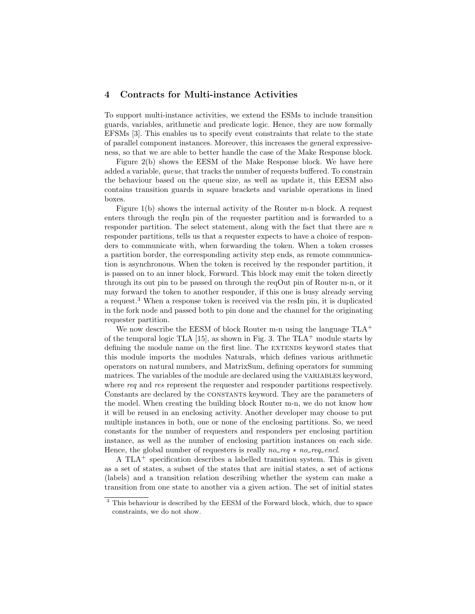### 4 Contracts for Multi-instance Activities

To support multi-instance activities, we extend the ESMs to include transition guards, variables, arithmetic and predicate logic. Hence, they are now formally EFSMs [3]. This enables us to specify event constraints that relate to the state of parallel component instances. Moreover, this increases the general expressiveness, so that we are able to better handle the case of the Make Response block.

Figure 2(b) shows the EESM of the Make Response block. We have here added a variable, queue, that tracks the number of requests buffered. To constrain the behaviour based on the queue size, as well as update it, this EESM also contains transition guards in square brackets and variable operations in lined boxes.

Figure 1(b) shows the internal activity of the Router m-n block. A request enters through the reqIn pin of the requester partition and is forwarded to a responder partition. The select statement, along with the fact that there are  $n$ responder partitions, tells us that a requester expects to have a choice of responders to communicate with, when forwarding the token. When a token crosses a partition border, the corresponding activity step ends, as remote communication is asynchronous. When the token is received by the responder partition, it is passed on to an inner block, Forward. This block may emit the token directly through its out pin to be passed on through the reqOut pin of Router m-n, or it may forward the token to another responder, if this one is busy already serving a request.<sup>3</sup> When a response token is received via the resIn pin, it is duplicated in the fork node and passed both to pin done and the channel for the originating requester partition.

We now describe the EESM of block Router m-n using the language  $TLA^+$ of the temporal logic TLA [15], as shown in Fig. 3. The  $TLA^+$  module starts by defining the module name on the first line. The EXTENDS keyword states that this module imports the modules Naturals, which defines various arithmetic operators on natural numbers, and MatrixSum, defining operators for summing matrices. The variables of the module are declared using the VARIABLES keyword, where req and res represent the requester and responder partitions respectively. Constants are declared by the constants keyword. They are the parameters of the model. When creating the building block Router m-n, we do not know how it will be reused in an enclosing activity. Another developer may choose to put multiple instances in both, one or none of the enclosing partitions. So, we need constants for the number of requesters and responders per enclosing partition instance, as well as the number of enclosing partition instances on each side. Hence, the global number of requesters is really  $no\_req * no\_req\_encl$ .

A  $TLA^+$  specification describes a labelled transition system. This is given as a set of states, a subset of the states that are initial states, a set of actions (labels) and a transition relation describing whether the system can make a transition from one state to another via a given action. The set of initial states

<sup>&</sup>lt;sup>3</sup> This behaviour is described by the EESM of the Forward block, which, due to space constraints, we do not show.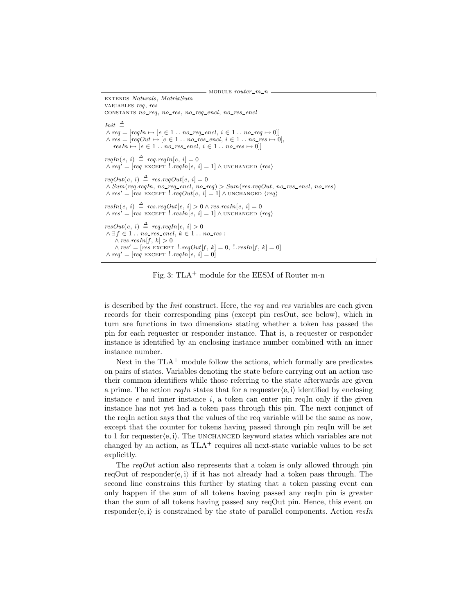```
MODULE\ router_m_nextends Naturals, MatrixSum
variables req, res
CONSTANTS no_{reg}, no_{res}, no_{reg\_encl}, no_{res\_encl}_{Init} \triangleq\land \textit{req} = [reqIn \rightarrow [e \in 1 \dots \textit{no\_req\_encl}, i \in 1 \dots \textit{no\_req} \rightarrow 0]]\land res = [reqOut \rightarrow [e \in 1.. no\_res\_encl, i \in 1.. no\_res \rightarrow 0],resIn \rightarrow [e \in 1 \dots no\_res\_{encl}, i \in 1 \dots no\_res \rightarrow 0]]reqIn(e, i) \stackrel{\Delta}{=} \textit{req} . \textit{req} In[e, i] = 0\wedge req<sup>\prime</sup> = [req EXCEPT !.reqIn[e, i] = 1] \wedge UNCHANGED \langle res \ranglereqOut(e, i) \stackrel{\Delta}{=} res.readOut[e, i] = 0\land Sum(req.reqIn, no_req_encl, no_req) > Sum(res.reqOut, no_res_encl, no_res)
\wedge res' = [res \text{ EXCEPT} \cdot! \text{reqOut}[e, i] = 1] \wedge \text{UNCHANGED} \langle \text{req} \rangleresIn(e, i) \stackrel{\Delta}{=} res.readOut[e, i] > 0 \land res.resIn[e, i] = 0\wedge res' = [res \text{ EXCEPT}].resIn[e, i] = 1] \wedge UNCHANGED \langle req \rangleresOut(e, i) \triangleq reg.rep[e, i] > 0\land \exists f \in 1 \ldots no\_res\_\mathit{encl}, k \in 1 \ldots no\_res:
     \wedge res.resIn[f, k] > 0
     \wedge res' = [res \text{ EXCEPT} ! .reqOut[f, k] = 0, ! .resIn[f, k] = 0]\wedge req' = [req \text{ EXCEPT} ! .reqIn[e, i] = 0]
```
Fig. 3:  $TLA<sup>+</sup>$  module for the EESM of Router m-n

is described by the Init construct. Here, the req and res variables are each given records for their corresponding pins (except pin resOut, see below), which in turn are functions in two dimensions stating whether a token has passed the pin for each requester or responder instance. That is, a requester or responder instance is identified by an enclosing instance number combined with an inner instance number.

Next in the  $TLA<sup>+</sup>$  module follow the actions, which formally are predicates on pairs of states. Variables denoting the state before carrying out an action use their common identifiers while those referring to the state afterwards are given a prime. The action regln states that for a requester $\langle e, i \rangle$  identified by enclosing instance  $e$  and inner instance  $i$ , a token can enter pin reqIn only if the given instance has not yet had a token pass through this pin. The next conjunct of the reqIn action says that the values of the req variable will be the same as now, except that the counter for tokens having passed through pin reqIn will be set to 1 for requester $\langle e, i \rangle$ . The UNCHANGED keyword states which variables are not changed by an action, as  $TLA^+$  requires all next-state variable values to be set explicitly.

The regOut action also represents that a token is only allowed through pin reqOut of responder $\langle e, i \rangle$  if it has not already had a token pass through. The second line constrains this further by stating that a token passing event can only happen if the sum of all tokens having passed any reqIn pin is greater than the sum of all tokens having passed any reqOut pin. Hence, this event on responder $\langle e, i \rangle$  is constrained by the state of parallel components. Action resIn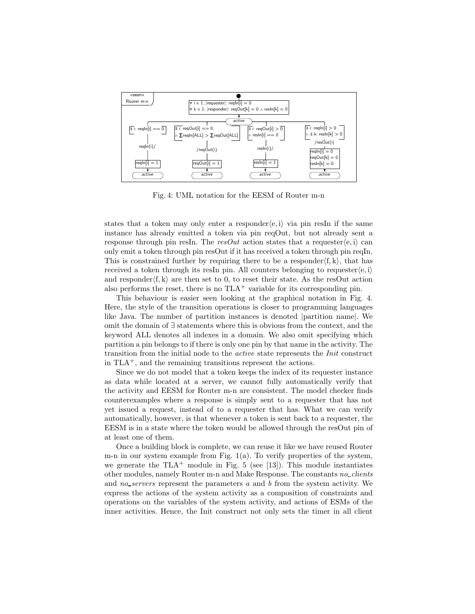

Fig. 4: UML notation for the EESM of Router m-n

states that a token may only enter a responder $\langle e, i \rangle$  via pin resIn if the same instance has already emitted a token via pin reqOut, but not already sent a response through pin resIn. The resOut action states that a requester $\langle e, i \rangle$  can only emit a token through pin resOut if it has received a token through pin reqIn. This is constrained further by requiring there to be a responder $\langle f, k \rangle$ , that has received a token through its resIn pin. All counters belonging to requester $\langle e, i \rangle$ and responder $\langle f, k \rangle$  are then set to 0, to reset their state. As the resOut action also performs the reset, there is no  $TLA^+$  variable for its corresponding pin.

This behaviour is easier seen looking at the graphical notation in Fig. 4. Here, the style of the transition operations is closer to programming languages like Java. The number of partition instances is denoted |partition name|. We omit the domain of ∃ statements where this is obvious from the context, and the keyword ALL denotes all indexes in a domain. We also omit specifying which partition a pin belongs to if there is only one pin by that name in the activity. The transition from the initial node to the active state represents the Init construct in  $TLA^+$ , and the remaining transitions represent the actions.

Since we do not model that a token keeps the index of its requester instance as data while located at a server, we cannot fully automatically verify that the activity and EESM for Router m-n are consistent. The model checker finds counterexamples where a response is simply sent to a requester that has not yet issued a request, instead of to a requester that has. What we can verify automatically, however, is that whenever a token is sent back to a requester, the EESM is in a state where the token would be allowed through the resOut pin of at least one of them.

Once a building block is complete, we can reuse it like we have reused Router m-n in our system example from Fig.  $1(a)$ . To verify properties of the system, we generate the  $TLA<sup>+</sup>$  module in Fig. 5 (see [13]). This module instantiates other modules, namely Router m-n and Make Response. The constants no clients and no servers represent the parameters  $a$  and  $b$  from the system activity. We express the actions of the system activity as a composition of constraints and operations on the variables of the system activity, and actions of ESMs of the inner activities. Hence, the Init construct not only sets the timer in all client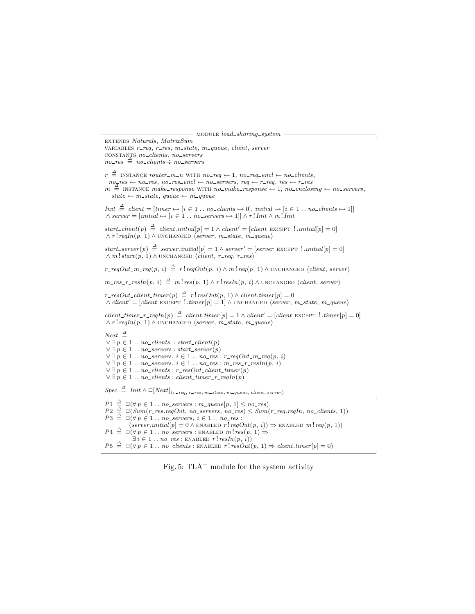$-$  MODULE load\_sharing\_system  $$ extends Naturals, MatrixSum  $VARIABLES$   $r\_req$ ,  $r\_res$ ,  $m\_state$ ,  $m\_queue$ ,  $client$ ,  $server$ constants no clients, no servers  $n_0$  results  $\triangle$  no clients  $\div$  no servers  $r \stackrel{\Delta}{=}$  INSTANCE router\_m\_n WITH no\_req  $\leftarrow$  1, no\_req\_encl  $\leftarrow$  no\_clients,  $no_{\pi}$ res ← no\_res, no\_res\_encl ← no\_servers, req ← r\_req, res ← r\_res  $m \geq 0$  instance make response with no make response  $\leftarrow 1$ , no enclosing  $\leftarrow$  no servers,  $state \leftarrow m\_state, queue \leftarrow m\_queue$ *Init*  $\stackrel{\Delta}{=}$  *client* =  $[timer \mapsto [i \in 1 \dots no \_ clients \mapsto 0], initial \mapsto [i \in 1 \dots no \_ clients \mapsto 1]]$  $\land server = [initial \mapsto [i \in 1 \dots no\_servers \mapsto 1]] \land r!Init \land m!Init$  $start\_client(p) \stackrel{\Delta}{=} client.inital[p] = 1 \land client' = [client \; EXCEPT \; !.initial[p] = 0]$  $\land r! \text{reqIn}(p, 1) \land \text{UNCHANGED}$  (server, m\_state, m\_queue)  $start\_server(p) \stackrel{\Delta}{=} server.initial[p] = 1 \land server' = [server \space EXCEPT \space !.initial[p] = 0]$  $\land m! start(p, 1) \land UNCHANGED \langle client, r_{reg}, r_{res} \rangle$  $r\_reqOut\_m\_req(p, i) \stackrel{\Delta}{=} r!reqOut(p, i) \land m!req(p, 1) \land \text{UNCHANGED } \langle client, server \rangle$  $m_{\text{-}res\_r_{\text{-}}resIn(p, i)} \triangleq m! \textit{res}(p, 1) \wedge r! \textit{resIn}(p, i) \wedge \textit{UNCHANGED} \langle client, server \rangle$  $r\_resOut\_client\_timer(p) \stackrel{\Delta}{=} r! resOut(p, 1) \wedge client.timer[p] = 0$  $\wedge$  client = [client EXCEPT !.timer[p] = 1]  $\wedge$  UNCHANGED  $\langle server, m\_state, m\_queue \rangle$  $client\_timer\_r\_reqIn(p) \triangleq client.time[r] = 1 \land client' = [client EXCEPT \cdot l.time[r] = 0]$  $\land r!$  req $In(p, 1)$   $\land$  UNCHANGED  $\langle server, m\_state, m\_queue \rangle$  $Next \triangleq$  $\vee \exists p \in 1 \dots no_{\text{--} clients} : start_{\text{--}client}(p)$  $\vee \exists p \in 1 \ldots no\_servers : start\_server(p)$  $\lor \exists p \in 1 \ldots no\_servers, i \in 1 \ldots no\_res : r\_reqOut\_m\_req(p, i)$  $\forall \exists p \in 1 \dots no\_servers, i \in 1 \dots no\_res : m\_res\_r\_resIn(p, i)$  $\forall \exists p \in 1 \dots no \text{-clients}: r \text{--} resOut \text{--} client \text{--} timer(p)$  $\forall \exists p \in 1 \dots no \text{-clients}: client \text{--} timer \text{--} regIn(p)$  $Spec \triangleq Int \wedge \Box[Next]_{\langle r\_req, r\_res, m\_state, m\_queue, client, server \rangle}$ 

```
P1 \equiv\Box(\forall p \in 1 \ldots no\_servers : m\_queue[p, 1] \leq no\_res)P2 \triangleq= \Box(Sum(r\_{res}.reqOut, no\_{s}revers, no\_{res}) \leq Sum(r\_{req}.reqIn, no\_{clients, 1))P3 \triangleq \Box(\forall p \in 1 \ldots no\_servers, i \in 1 \ldots no\_res:
           (server.inital[p] = 0 \land ENABLED r! reqOut(p, i)) \Rightarrow ENABLED m! req(p, 1))P4 \triangleq \Box(\forall p \in 1 \ldots no\_servers : \text{ENABLED } m! \text{ res}(p, 1) \Rightarrow\exists i \in 1 \dots no\_res : \text{ENABLED } r! \, resIn(p, i))P5 \triangleq \Box(\forall p \in 1 \ldots no \_ clients : \text{ENABLED } r! \text{ resOut}(p, 1) \Rightarrow \text{client.time}[p] = 0)
```
Fig. 5:  $TLA^+$  module for the system activity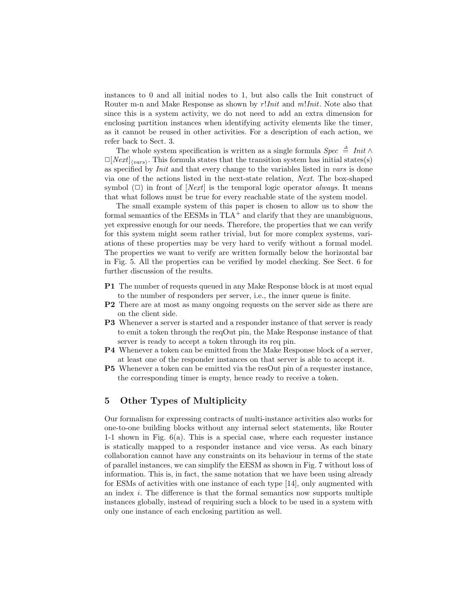instances to 0 and all initial nodes to 1, but also calls the Init construct of Router m-n and Make Response as shown by  $r!Init$  and  $m!Init$ . Note also that since this is a system activity, we do not need to add an extra dimension for enclosing partition instances when identifying activity elements like the timer, as it cannot be reused in other activities. For a description of each action, we refer back to Sect. 3.

The whole system specification is written as a single formula  $Spec \triangleq Int \wedge$  $\Box[Next]_{\langle vars \rangle}$ . This formula states that the transition system has initial states(s) as specified by *Init* and that every change to the variables listed in vars is done via one of the actions listed in the next-state relation, Next. The box-shaped symbol  $(\Box)$  in front of  $[Next]$  is the temporal logic operator *always*. It means that what follows must be true for every reachable state of the system model.

The small example system of this paper is chosen to allow us to show the formal semantics of the EESMs in  $TLA^+$  and clarify that they are unambiguous, yet expressive enough for our needs. Therefore, the properties that we can verify for this system might seem rather trivial, but for more complex systems, variations of these properties may be very hard to verify without a formal model. The properties we want to verify are written formally below the horizontal bar in Fig. 5. All the properties can be verified by model checking. See Sect. 6 for further discussion of the results.

- P1 The number of requests queued in any Make Response block is at most equal to the number of responders per server, i.e., the inner queue is finite.
- P2 There are at most as many ongoing requests on the server side as there are on the client side.
- P3 Whenever a server is started and a responder instance of that server is ready to emit a token through the reqOut pin, the Make Response instance of that server is ready to accept a token through its req pin.
- P4 Whenever a token can be emitted from the Make Response block of a server, at least one of the responder instances on that server is able to accept it.
- P5 Whenever a token can be emitted via the resOut pin of a requester instance, the corresponding timer is empty, hence ready to receive a token.

## 5 Other Types of Multiplicity

Our formalism for expressing contracts of multi-instance activities also works for one-to-one building blocks without any internal select statements, like Router 1-1 shown in Fig. 6(a). This is a special case, where each requester instance is statically mapped to a responder instance and vice versa. As each binary collaboration cannot have any constraints on its behaviour in terms of the state of parallel instances, we can simplify the EESM as shown in Fig. 7 without loss of information. This is, in fact, the same notation that we have been using already for ESMs of activities with one instance of each type [14], only augmented with an index  $i$ . The difference is that the formal semantics now supports multiple instances globally, instead of requiring such a block to be used in a system with only one instance of each enclosing partition as well.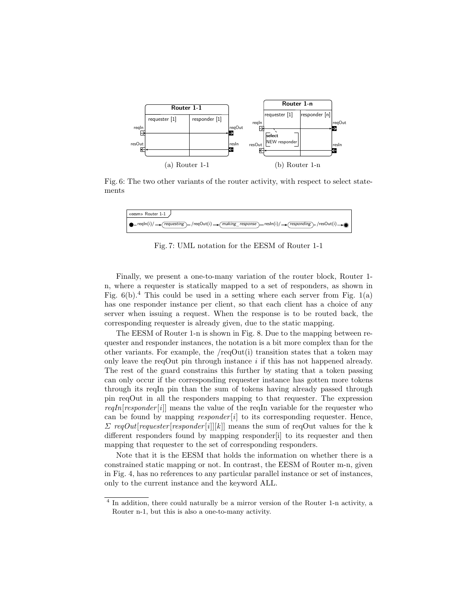

Fig. 6: The two other variants of the router activity, with respect to select statements



Fig. 7: UML notation for the EESM of Router 1-1

Finally, we present a one-to-many variation of the router block, Router 1 n, where a requester is statically mapped to a set of responders, as shown in Fig.  $6(b)$ .<sup>4</sup> This could be used in a setting where each server from Fig. 1(a) has one responder instance per client, so that each client has a choice of any server when issuing a request. When the response is to be routed back, the corresponding requester is already given, due to the static mapping.

The EESM of Router 1-n is shown in Fig. 8. Due to the mapping between requester and responder instances, the notation is a bit more complex than for the other variants. For example, the /reqOut(i) transition states that a token may only leave the reqOut pin through instance  $i$  if this has not happened already. The rest of the guard constrains this further by stating that a token passing can only occur if the corresponding requester instance has gotten more tokens through its reqIn pin than the sum of tokens having already passed through pin reqOut in all the responders mapping to that requester. The expression  $reqIn[response[i]]$  means the value of the reqIn variable for the requester who can be found by mapping responder  $[i]$  to its corresponding requester. Hence,  $\Sigma$  reqOut[requester [responder [i]][k]] means the sum of reqOut values for the k different responders found by mapping responder [i] to its requester and then mapping that requester to the set of corresponding responders.

Note that it is the EESM that holds the information on whether there is a constrained static mapping or not. In contrast, the EESM of Router m-n, given in Fig. 4, has no references to any particular parallel instance or set of instances, only to the current instance and the keyword ALL.

<sup>&</sup>lt;sup>4</sup> In addition, there could naturally be a mirror version of the Router 1-n activity, a Router n-1, but this is also a one-to-many activity.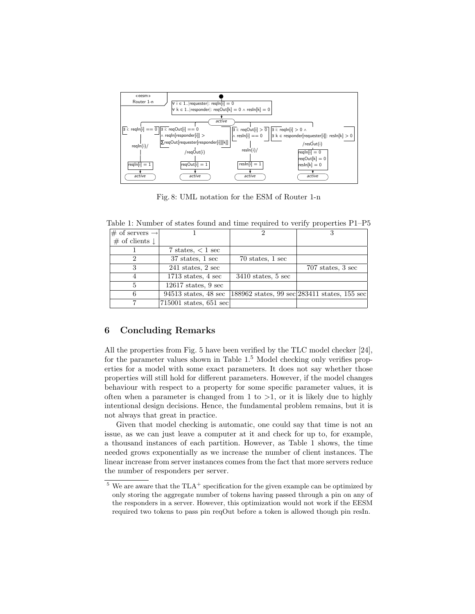

Fig. 8: UML notation for the ESM of Router 1-n

Table 1: Number of states found and time required to verify properties P1–P5

| $ \#$ of servers $\rightarrow$ |                                     |                      |                                                                                  |
|--------------------------------|-------------------------------------|----------------------|----------------------------------------------------------------------------------|
| # of clients $\downarrow$      |                                     |                      |                                                                                  |
|                                | $7 \text{ states}, < 1 \text{ sec}$ |                      |                                                                                  |
|                                | $37$ states, 1 sec                  | $70$ states, 1 sec   |                                                                                  |
| 3                              | $241$ states, 2 sec                 |                      | $707$ states, 3 sec                                                              |
|                                | $1713$ states, 4 sec                | $3410$ states, 5 sec |                                                                                  |
|                                | $12617$ states, 9 sec               |                      |                                                                                  |
| 6                              | $94513$ states, 48 sec              |                      | $ 188962 \text{ states}, 99 \text{ sec} 283411 \text{ states}, 155 \text{ sec} $ |
|                                | $715001$ states, 651 sec            |                      |                                                                                  |

## 6 Concluding Remarks

All the properties from Fig. 5 have been verified by the TLC model checker [24], for the parameter values shown in Table 1.<sup>5</sup> Model checking only verifies properties for a model with some exact parameters. It does not say whether those properties will still hold for different parameters. However, if the model changes behaviour with respect to a property for some specific parameter values, it is often when a parameter is changed from 1 to  $>1$ , or it is likely due to highly intentional design decisions. Hence, the fundamental problem remains, but it is not always that great in practice.

Given that model checking is automatic, one could say that time is not an issue, as we can just leave a computer at it and check for up to, for example, a thousand instances of each partition. However, as Table 1 shows, the time needed grows exponentially as we increase the number of client instances. The linear increase from server instances comes from the fact that more servers reduce the number of responders per server.

 $5$  We are aware that the TLA<sup>+</sup> specification for the given example can be optimized by only storing the aggregate number of tokens having passed through a pin on any of the responders in a server. However, this optimization would not work if the EESM required two tokens to pass pin reqOut before a token is allowed though pin resIn.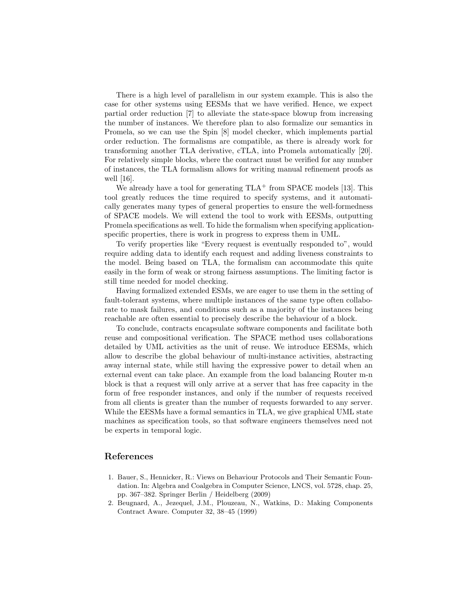There is a high level of parallelism in our system example. This is also the case for other systems using EESMs that we have verified. Hence, we expect partial order reduction [7] to alleviate the state-space blowup from increasing the number of instances. We therefore plan to also formalize our semantics in Promela, so we can use the Spin [8] model checker, which implements partial order reduction. The formalisms are compatible, as there is already work for transforming another TLA derivative, cTLA, into Promela automatically [20]. For relatively simple blocks, where the contract must be verified for any number of instances, the TLA formalism allows for writing manual refinement proofs as well [16].

We already have a tool for generating  $TLA<sup>+</sup>$  from SPACE models [13]. This tool greatly reduces the time required to specify systems, and it automatically generates many types of general properties to ensure the well-formedness of SPACE models. We will extend the tool to work with EESMs, outputting Promela specifications as well. To hide the formalism when specifying applicationspecific properties, there is work in progress to express them in UML.

To verify properties like "Every request is eventually responded to", would require adding data to identify each request and adding liveness constraints to the model. Being based on TLA, the formalism can accommodate this quite easily in the form of weak or strong fairness assumptions. The limiting factor is still time needed for model checking.

Having formalized extended ESMs, we are eager to use them in the setting of fault-tolerant systems, where multiple instances of the same type often collaborate to mask failures, and conditions such as a majority of the instances being reachable are often essential to precisely describe the behaviour of a block.

To conclude, contracts encapsulate software components and facilitate both reuse and compositional verification. The SPACE method uses collaborations detailed by UML activities as the unit of reuse. We introduce EESMs, which allow to describe the global behaviour of multi-instance activities, abstracting away internal state, while still having the expressive power to detail when an external event can take place. An example from the load balancing Router m-n block is that a request will only arrive at a server that has free capacity in the form of free responder instances, and only if the number of requests received from all clients is greater than the number of requests forwarded to any server. While the EESMs have a formal semantics in TLA, we give graphical UML state machines as specification tools, so that software engineers themselves need not be experts in temporal logic.

#### References

- 1. Bauer, S., Hennicker, R.: Views on Behaviour Protocols and Their Semantic Foundation. In: Algebra and Coalgebra in Computer Science, LNCS, vol. 5728, chap. 25, pp. 367–382. Springer Berlin / Heidelberg (2009)
- 2. Beugnard, A., Jezequel, J.M., Plouzeau, N., Watkins, D.: Making Components Contract Aware. Computer 32, 38–45 (1999)